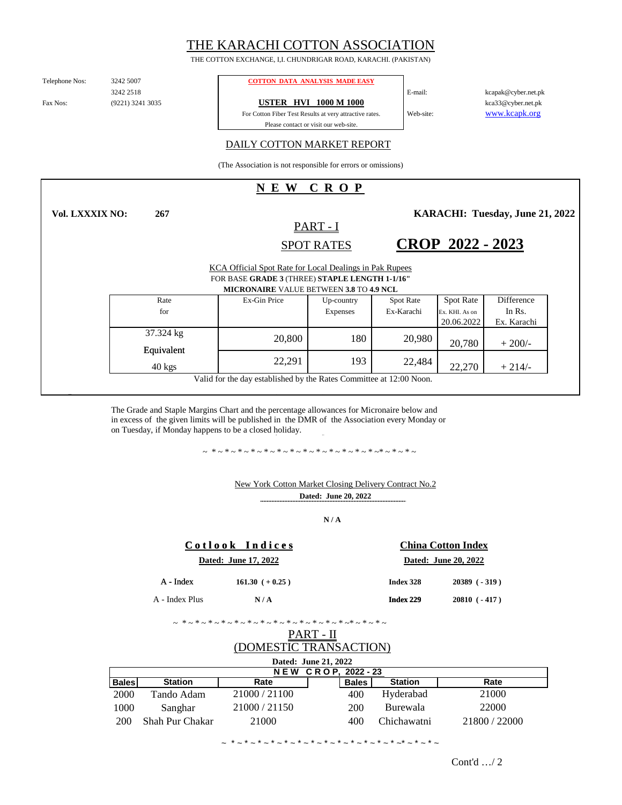# THE KARACHI COTTON ASSOCIATION

THE COTTON EXCHANGE, I,I. CHUNDRIGAR ROAD, KARACHI. (PAKISTAN)

Telephone Nos:

3242 2518 (9221) 3241 3035

**267**

### 3242 5007 **COTTON DATA ANALYSIS MADE EASY**

Fax Nos: (9221) 3241 3035 **USTER HVI 1000 M 1000** 

For Cotton Fiber Test Results at very attractive rates. Please contact or visit our web-site.

kcapak@cyber.net.pk kca33@cyber.net.pk www.kcapk.org

## DAILY COTTON MARKET REPORT

(The Association is not responsible for errors or omissions)

# **N E W C R O P**

**Vol. LXXXIX NO:**

SPOT RATES PART - I

**KARACHI: Tuesday, June 21, 2022** 

**CROP 2022 - 2023**

E-mail:

Web-site:

| KCA Official Spot Rate for Local Dealings in Pak Rupees<br>FOR BASE GRADE 3 (THREE) STAPLE LENGTH 1-1/16" |              |                 |                  |                |             |
|-----------------------------------------------------------------------------------------------------------|--------------|-----------------|------------------|----------------|-------------|
| <b>MICRONAIRE VALUE BETWEEN 3.8 TO 4.9 NCL</b>                                                            |              |                 |                  |                |             |
| Rate                                                                                                      | Ex-Gin Price | Up-country      | <b>Spot Rate</b> | Spot Rate      | Difference  |
| for                                                                                                       |              | <b>Expenses</b> | Ex-Karachi       | Ex. KHI. As on | In Rs.      |
|                                                                                                           |              |                 |                  | 20.06.2022     | Ex. Karachi |
| 37.324 kg                                                                                                 | 20,800       | 180             | 20.980           | 20,780         | $+200/-$    |
| Equivalent                                                                                                |              |                 |                  |                |             |
| $40 \text{ kgs}$                                                                                          | 22.291       | 193             | 22,484           | 22,270         | $+214/$     |
| Valid for the day established by the Rates Committee at 12:00 Noon.                                       |              |                 |                  |                |             |

The Grade and Staple Margins Chart and the percentage allowances for Micronaire below and in excess of the given limits will be published in the DMR of the Association every Monday or on Tuesday, if Monday happens to be a closed holiday.

~ \*~\*~\*~\*~\*~\*~\*~\*~\*~\*~\*~\*~\*~\*~\*~\*~

### **Dated: June 20, 2022** New York Cotton Market Closing Delivery Contract No.2

**N / A**

|                      | Cotlook Indices  | <b>China Cotton Index</b> |                    |  |
|----------------------|------------------|---------------------------|--------------------|--|
| Dated: June 17, 2022 |                  | Dated: June 20, 2022      |                    |  |
| $A$ - Index          | $161.30 (+0.25)$ | Index 328                 | $20389$ ( $-319$ ) |  |
| A - Index Plus       | N/A              | Index 229                 | $20810 (-417)$     |  |

~ \*~\*~\*~\*~\*~\*~\*~\*~\*~\*~\*~\*~\*~\*~\*~\*~

# PART - II (DOMESTIC TRANSACTION)

| Dated: June 21, 2022 |                 |             |  |              |                |               |
|----------------------|-----------------|-------------|--|--------------|----------------|---------------|
| NEW CROP. 2022 - 23  |                 |             |  |              |                |               |
| <b>Bales</b>         | <b>Station</b>  | Rate        |  | <b>Bales</b> | <b>Station</b> | Rate          |
| 2000                 | Tando Adam      | 21000/21100 |  | 400          | Hyderabad      | 21000         |
| 1000                 | Sanghar         | 21000/21150 |  | 200          | Burewala       | 22000         |
| 200                  | Shah Pur Chakar | 21000       |  | 400          | Chichawatni    | 21800 / 22000 |

~ \* ~ \* ~ \* ~ \* ~ \* ~ \* ~ \* ~ \* ~ \* ~ \* ~ \* ~ \* ~ \* ~\* ~ \* ~ \* ~